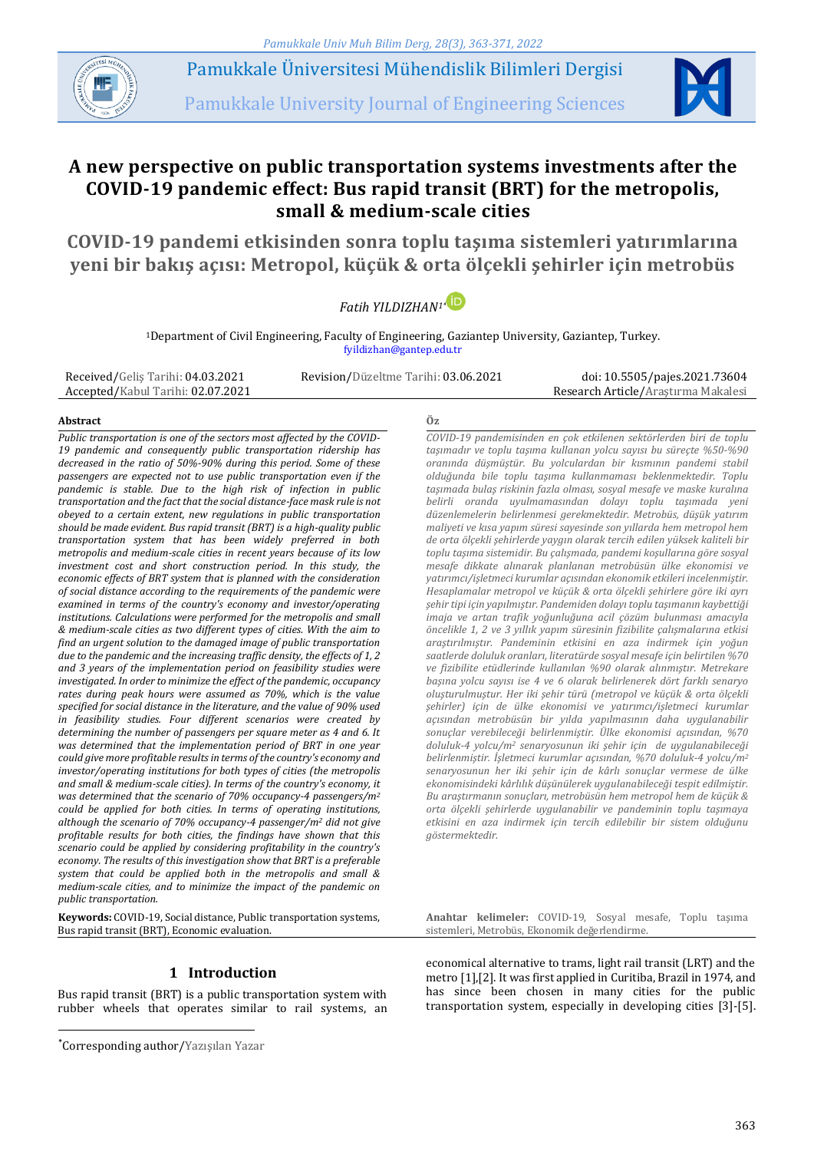*Pamukkale Univ Muh Bilim Derg, 28(3), 363-371, 2022*



Pamukkale Üniversitesi Mühendislik Bilimleri Dergisi

Pamukkale University Journal of Engineering Sciences



# **A new perspective on public transportation systems investments after the COVID-19 pandemic effect: Bus rapid transit (BRT) for the metropolis, small & medium-scale cities**

**COVID-19 pandemi etkisinden sonra toplu taşıma sistemleri yatırımlarına yeni bir bakış açısı: Metropol, küçük & orta ölçekli şehirler için metrobüs**



<sup>1</sup>Department of Civil Engineering, Faculty of Engineering, Gaziantep University, Gaziantep, Turkey. fyildizhan@gantep.edu.tr

Received/Geliş Tarihi: 04.03.2021 Accepted/Kabul Tarihi: 02.07.2021

Revision/Düzeltme Tarihi: 03.06.2021 doi: 10.5505/pajes.2021.73604 Research Article/Araştırma Makalesi

#### **Abstract Öz**

*Public transportation is one of the sectors most affected by the COVID-19 pandemic and consequently public transportation ridership has decreased in the ratio of 50%-90% during this period. Some of these passengers are expected not to use public transportation even if the pandemic is stable. Due to the high risk of infection in public transportation and the fact that the social distance-face mask rule is not obeyed to a certain extent, new regulations in public transportation should be made evident. Bus rapid transit (BRT) is a high-quality public transportation system that has been widely preferred in both metropolis and medium-scale cities in recent years because of its low investment cost and short construction period. In this study, the economic effects of BRT system that is planned with the consideration of social distance according to the requirements of the pandemic were examined in terms of the country's economy and investor/operating institutions. Calculations were performed for the metropolis and small & medium-scale cities as two different types of cities. With the aim to find an urgent solution to the damaged image of public transportation due to the pandemic and the increasing traffic density, the effects of 1, 2 and 3 years of the implementation period on feasibility studies were investigated. In order to minimize the effect of the pandemic, occupancy rates during peak hours were assumed as 70%, which is the value specified for social distance in the literature, and the value of 90% used in feasibility studies. Four different scenarios were created by determining the number of passengers per square meter as 4 and 6. It was determined that the implementation period of BRT in one year could give more profitable results in terms of the country's economy and investor/operating institutions for both types of cities (the metropolis and small & medium-scale cities). In terms of the country's economy, it was determined that the scenario of 70% occupancy-4 passengers/m<sup>2</sup> could be applied for both cities. In terms of operating institutions, although the scenario of 70% occupancy-4 passenger/m<sup>2</sup> did not give profitable results for both cities, the findings have shown that this scenario could be applied by considering profitability in the country's economy. The results of this investigation show that BRT is a preferable system that could be applied both in the metropolis and small & medium-scale cities, and to minimize the impact of the pandemic on public transportation.*

**Keywords:** COVID-19, Social distance, Public transportation systems, Bus rapid transit (BRT), Economic evaluation.

# **1 Introduction**

Bus rapid transit (BRT) is a public transportation system with rubber wheels that operates similar to rail systems, an

 $\overline{a}$ 

*COVID-19 pandemisinden en çok etkilenen sektörlerden biri de toplu taşımadır ve toplu taşıma kullanan yolcu sayısı bu süreçte %50-%90 oranında düşmüştür. Bu yolculardan bir kısmının pandemi stabil olduğunda bile toplu taşıma kullanmaması beklenmektedir. Toplu taşımada bulaş riskinin fazla olması, sosyal mesafe ve maske kuralına belirli oranda uyulmamasından dolayı toplu taşımada yeni düzenlemelerin belirlenmesi gerekmektedir. Metrobüs, düşük yatırım maliyeti ve kısa yapım süresi sayesinde son yıllarda hem metropol hem de orta ölçekli şehirlerde yaygın olarak tercih edilen yüksek kaliteli bir toplu taşıma sistemidir. Bu çalışmada, pandemi koşullarına göre sosyal mesafe dikkate alınarak planlanan metrobüsün ülke ekonomisi ve yatırımcı/işletmeci kurumlar açısından ekonomik etkileri incelenmiştir. Hesaplamalar metropol ve küçük & orta ölçekli şehirlere göre iki ayrı şehir tipi için yapılmıştır. Pandemiden dolayı toplu taşımanın kaybettiği imaja ve artan trafik yoğunluğuna acil çözüm bulunması amacıyla öncelikle 1, 2 ve 3 yıllık yapım süresinin fizibilite çalışmalarına etkisi araştırılmıştır. Pandeminin etkisini en aza indirmek için yoğun saatlerde doluluk oranları, literatürde sosyal mesafe için belirtilen %70 ve fizibilite etüdlerinde kullanılan %90 olarak alınmıştır. Metrekare başına yolcu sayısı ise 4 ve 6 olarak belirlenerek dört farklı senaryo oluşturulmuştur. Her iki şehir türü (metropol ve küçük & orta ölçekli şehirler) için de ülke ekonomisi ve yatırımcı/işletmeci kurumlar açısından metrobüsün bir yılda yapılmasının daha uygulanabilir sonuçlar verebileceği belirlenmiştir. Ülke ekonomisi açısından, %70 doluluk-4 yolcu/m<sup>2</sup> senaryosunun iki şehir için de uygulanabileceği belirlenmiştir. İşletmeci kurumlar açısından, %70 doluluk-4 yolcu/m<sup>2</sup> senaryosunun her iki şehir için de kârlı sonuçlar vermese de ülke ekonomisindeki kârlılık düşünülerek uygulanabileceği tespit edilmiştir. Bu araştırmanın sonuçları, metrobüsün hem metropol hem de küçük & orta ölçekli şehirlerde uygulanabilir ve pandeminin toplu taşımaya etkisini en aza indirmek için tercih edilebilir bir sistem olduğunu göstermektedir.*

**Anahtar kelimeler:** COVID-19, Sosyal mesafe, Toplu taşıma sistemleri, Metrobüs, Ekonomik değerlendirme.

economical alternative to trams, light rail transit (LRT) and the metro [1],[2]. It was first applied in Curitiba, Brazil in 1974, and has since been chosen in many cities for the public transportation system, especially in developing cities [3]-[5].

<sup>\*</sup>Corresponding author/Yazışılan Yazar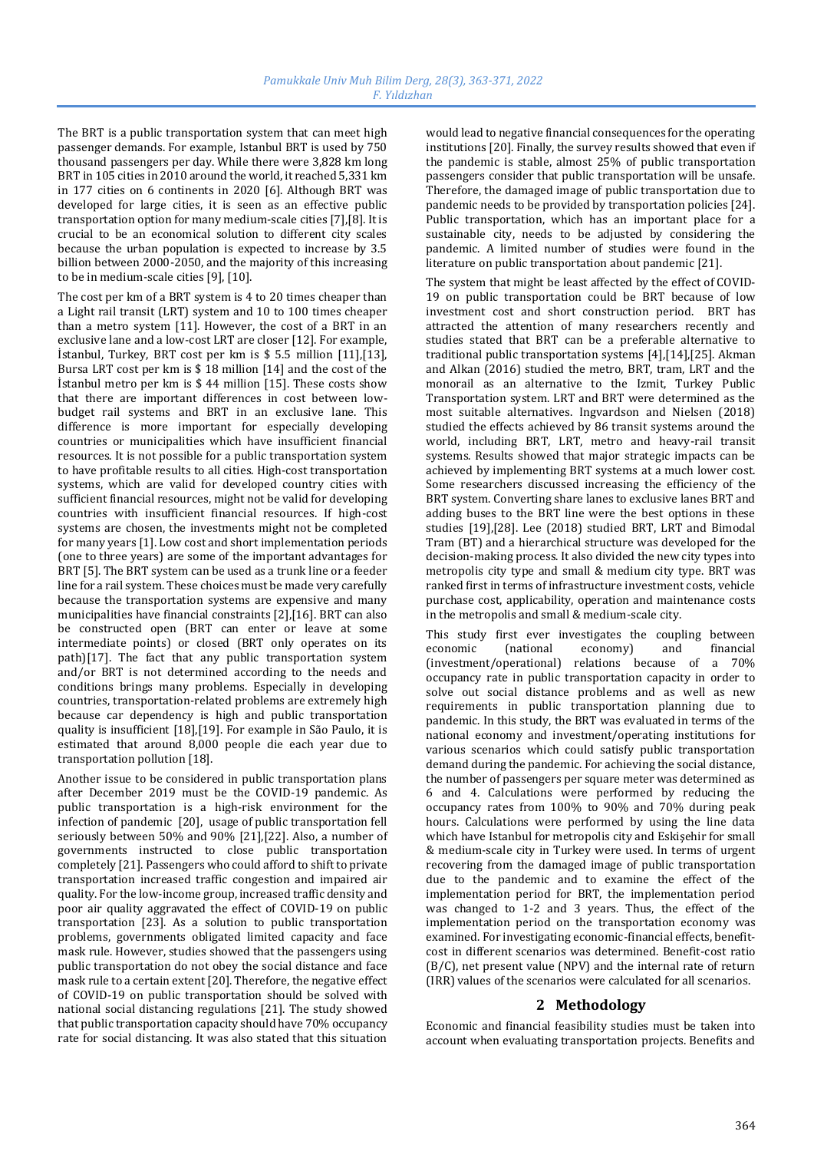The BRT is a public transportation system that can meet high passenger demands. For example, Istanbul BRT is used by 750 thousand passengers per day. While there were 3,828 km long BRT in 105 cities in 2010 around the world, it reached 5,331 km in 177 cities on 6 continents in 2020 [6]. Although BRT was developed for large cities, it is seen as an effective public transportation option for many medium-scale cities [7],[8]. It is crucial to be an economical solution to different city scales because the urban population is expected to increase by 3.5 billion between 2000-2050, and the majority of this increasing to be in medium-scale cities [9], [10].

The cost per km of a BRT system is 4 to 20 times cheaper than a Light rail transit (LRT) system and 10 to 100 times cheaper than a metro system [11]. However, the cost of a BRT in an exclusive lane and a low-cost LRT are closer [12]. For example, İstanbul, Turkey, BRT cost per km is \$ 5.5 million [11],[13], Bursa LRT cost per km is \$ 18 million [14] and the cost of the İstanbul metro per km is \$ 44 million [15]. These costs show that there are important differences in cost between lowbudget rail systems and BRT in an exclusive lane. This difference is more important for especially developing countries or municipalities which have insufficient financial resources. It is not possible for a public transportation system to have profitable results to all cities. High-cost transportation systems, which are valid for developed country cities with sufficient financial resources, might not be valid for developing countries with insufficient financial resources. If high-cost systems are chosen, the investments might not be completed for many years [1]. Low cost and short implementation periods (one to three years) are some of the important advantages for BRT [5]. The BRT system can be used as a trunk line or a feeder line for a rail system. These choices must be made very carefully because the transportation systems are expensive and many municipalities have financial constraints [2],[16]. BRT can also be constructed open (BRT can enter or leave at some intermediate points) or closed (BRT only operates on its path)[17]. The fact that any public transportation system and/or BRT is not determined according to the needs and conditions brings many problems. Especially in developing countries, transportation-related problems are extremely high because car dependency is high and public transportation quality is insufficient [18],[19]. For example in São Paulo, it is estimated that around 8,000 people die each year due to transportation pollution [18].

Another issue to be considered in public transportation plans after December 2019 must be the COVID-19 pandemic. As public transportation is a high-risk environment for the infection of pandemic [20], usage of public transportation fell seriously between 50% and 90% [21],[22]. Also, a number of governments instructed to close public transportation completely [21]. Passengers who could afford to shift to private transportation increased traffic congestion and impaired air quality. For the low-income group, increased traffic density and poor air quality aggravated the effect of COVID-19 on public transportation [23]. As a solution to public transportation problems, governments obligated limited capacity and face mask rule. However, studies showed that the passengers using public transportation do not obey the social distance and face mask rule to a certain extent [20]. Therefore, the negative effect of COVID-19 on public transportation should be solved with national social distancing regulations [21]. The study showed that public transportation capacity should have 70% occupancy rate for social distancing. It was also stated that this situation

would lead to negative financial consequences for the operating institutions [20]. Finally, the survey results showed that even if the pandemic is stable, almost 25% of public transportation passengers consider that public transportation will be unsafe. Therefore, the damaged image of public transportation due to pandemic needs to be provided by transportation policies [24]. Public transportation, which has an important place for a sustainable city, needs to be adjusted by considering the pandemic. A limited number of studies were found in the literature on public transportation about pandemic [21].

The system that might be least affected by the effect of COVID-19 on public transportation could be BRT because of low investment cost and short construction period. BRT has attracted the attention of many researchers recently and studies stated that BRT can be a preferable alternative to traditional public transportation systems [4],[14],[25]. Akman and Alkan (2016) studied the metro, BRT, tram, LRT and the monorail as an alternative to the Izmit, Turkey Public Transportation system. LRT and BRT were determined as the most suitable alternatives. Ingvardson and Nielsen (2018) studied the effects achieved by 86 transit systems around the world, including BRT, LRT, metro and heavy-rail transit systems. Results showed that major strategic impacts can be achieved by implementing BRT systems at a much lower cost. Some researchers discussed increasing the efficiency of the BRT system. Converting share lanes to exclusive lanes BRT and adding buses to the BRT line were the best options in these studies [19],[28]. Lee (2018) studied BRT, LRT and Bimodal Tram (BT) and a hierarchical structure was developed for the decision-making process. It also divided the new city types into metropolis city type and small & medium city type. BRT was ranked first in terms of infrastructure investment costs, vehicle purchase cost, applicability, operation and maintenance costs in the metropolis and small & medium-scale city.

This study first ever investigates the coupling between economic (national economy) and financial (investment/operational) relations because of a 70% occupancy rate in public transportation capacity in order to solve out social distance problems and as well as new requirements in public transportation planning due to pandemic. In this study, the BRT was evaluated in terms of the national economy and investment/operating institutions for various scenarios which could satisfy public transportation demand during the pandemic. For achieving the social distance, the number of passengers per square meter was determined as 6 and 4. Calculations were performed by reducing the occupancy rates from 100% to 90% and 70% during peak hours. Calculations were performed by using the line data which have Istanbul for metropolis city and Eskişehir for small & medium-scale city in Turkey were used. In terms of urgent recovering from the damaged image of public transportation due to the pandemic and to examine the effect of the implementation period for BRT, the implementation period was changed to 1-2 and 3 years. Thus, the effect of the implementation period on the transportation economy was examined. For investigating economic-financial effects, benefitcost in different scenarios was determined. Benefit-cost ratio (B/C), net present value (NPV) and the internal rate of return (IRR) values of the scenarios were calculated for all scenarios.

# **2 Methodology**

Economic and financial feasibility studies must be taken into account when evaluating transportation projects. Benefits and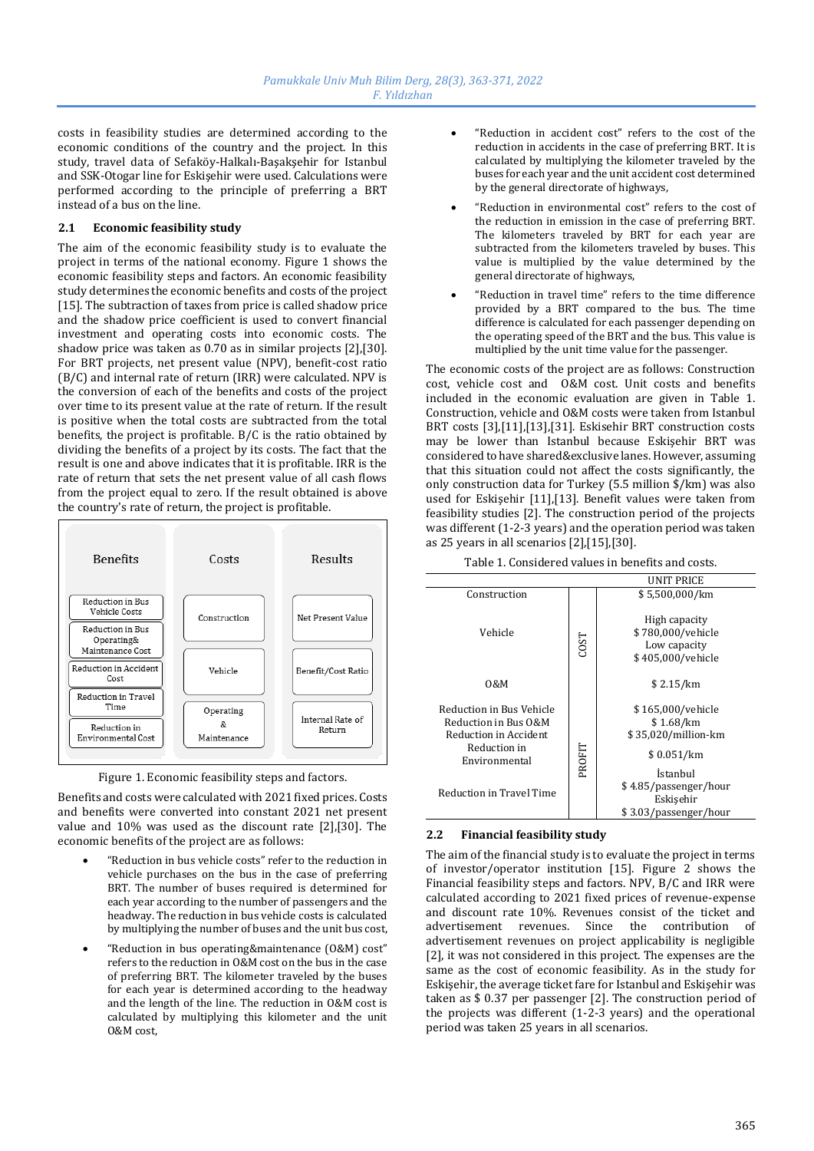costs in feasibility studies are determined according to the economic conditions of the country and the project. In this study, travel data of Sefaköy-Halkalı-Başakşehir for Istanbul and SSK-Otogar line for Eskişehir were used. Calculations were performed according to the principle of preferring a BRT instead of a bus on the line.

# **2.1 Economic feasibility study**

The aim of the economic feasibility study is to evaluate the project in terms of the national economy. Figure 1 shows the economic feasibility steps and factors. An economic feasibility study determines the economic benefits and costs of the project [15]. The subtraction of taxes from price is called shadow price and the shadow price coefficient is used to convert financial investment and operating costs into economic costs. The shadow price was taken as 0.70 as in similar projects [2],[30]. For BRT projects, net present value (NPV), benefit-cost ratio (B/C) and internal rate of return (IRR) were calculated. NPV is the conversion of each of the benefits and costs of the project over time to its present value at the rate of return. If the result is positive when the total costs are subtracted from the total benefits, the project is profitable. B/C is the ratio obtained by dividing the benefits of a project by its costs. The fact that the result is one and above indicates that it is profitable. IRR is the rate of return that sets the net present value of all cash flows from the project equal to zero. If the result obtained is above the country's rate of return, the project is profitable.



Figure 1. Economic feasibility steps and factors.

Benefits and costs were calculated with 2021 fixed prices. Costs and benefits were converted into constant 2021 net present value and 10% was used as the discount rate [2],[30]. The economic benefits of the project are as follows:

- "Reduction in bus vehicle costs" refer to the reduction in vehicle purchases on the bus in the case of preferring BRT. The number of buses required is determined for each year according to the number of passengers and the headway. The reduction in bus vehicle costs is calculated by multiplying the number of buses and the unit bus cost,
- "Reduction in bus operating&maintenance (O&M) cost" refers to the reduction in O&M cost on the bus in the case of preferring BRT. The kilometer traveled by the buses for each year is determined according to the headway and the length of the line. The reduction in O&M cost is calculated by multiplying this kilometer and the unit O&M cost,
- "Reduction in accident cost" refers to the cost of the reduction in accidents in the case of preferring BRT. It is calculated by multiplying the kilometer traveled by the buses for each year and the unit accident cost determined by the general directorate of highways,
- "Reduction in environmental cost" refers to the cost of the reduction in emission in the case of preferring BRT. The kilometers traveled by BRT for each year are subtracted from the kilometers traveled by buses. This value is multiplied by the value determined by the general directorate of highways,
- "Reduction in travel time" refers to the time difference provided by a BRT compared to the bus. The time difference is calculated for each passenger depending on the operating speed of the BRT and the bus. This value is multiplied by the unit time value for the passenger.

The economic costs of the project are as follows: Construction cost, vehicle cost and O&M cost. Unit costs and benefits included in the economic evaluation are given in Table 1. Construction, vehicle and O&M costs were taken from Istanbul BRT costs [3],[11],[13],[31]. Eskisehir BRT construction costs may be lower than Istanbul because Eskişehir BRT was considered to have shared&exclusive lanes. However, assuming that this situation could not affect the costs significantly, the only construction data for Turkey (5.5 million \$/km) was also used for Eskişehir [11],[13]. Benefit values were taken from feasibility studies [2]. The construction period of the projects was different (1-2-3 years) and the operation period was taken as 25 years in all scenarios [2],[15],[30].

| Table 1. Considéred values in benefits and costs.                                                                                      |             |                                                                                                                       |  |
|----------------------------------------------------------------------------------------------------------------------------------------|-------------|-----------------------------------------------------------------------------------------------------------------------|--|
| UNIT PRICE                                                                                                                             |             |                                                                                                                       |  |
| Construction                                                                                                                           |             | \$5,500,000/km                                                                                                        |  |
| Vehicle                                                                                                                                | <b>COST</b> | High capacity<br>\$780,000/vehicle<br>Low capacity<br>\$405,000/vehicle                                               |  |
| 0&M                                                                                                                                    |             | \$2.15/km                                                                                                             |  |
| Reduction in Bus Vehicle<br>Reduction in Bus O&M<br>Reduction in Accident<br>Reduction in<br>Environmental<br>Reduction in Travel Time | PROFIT      | \$165,000/vehicle<br>\$1.68/km<br>\$35,020/million-km<br>\$0.051/km<br>İstanbul<br>\$4.85/passenger/hour<br>Eskişehir |  |
|                                                                                                                                        |             | \$3.03/passenger/hour                                                                                                 |  |

Table 1. Considered values in benefits and costs.

# **2.2 Financial feasibility study**

The aim of the financial study is to evaluate the project in terms of investor/operator institution [15]. Figure 2 shows the Financial feasibility steps and factors. NPV, B/C and IRR were calculated according to 2021 fixed prices of revenue-expense and discount rate 10%. Revenues consist of the ticket and advertisement revenues. Since the contribution of advertisement revenues on project applicability is negligible [2], it was not considered in this project. The expenses are the same as the cost of economic feasibility. As in the study for Eskişehir, the average ticket fare for Istanbul and Eskişehir was taken as \$ 0.37 per passenger [2]. The construction period of the projects was different (1-2-3 years) and the operational period was taken 25 years in all scenarios.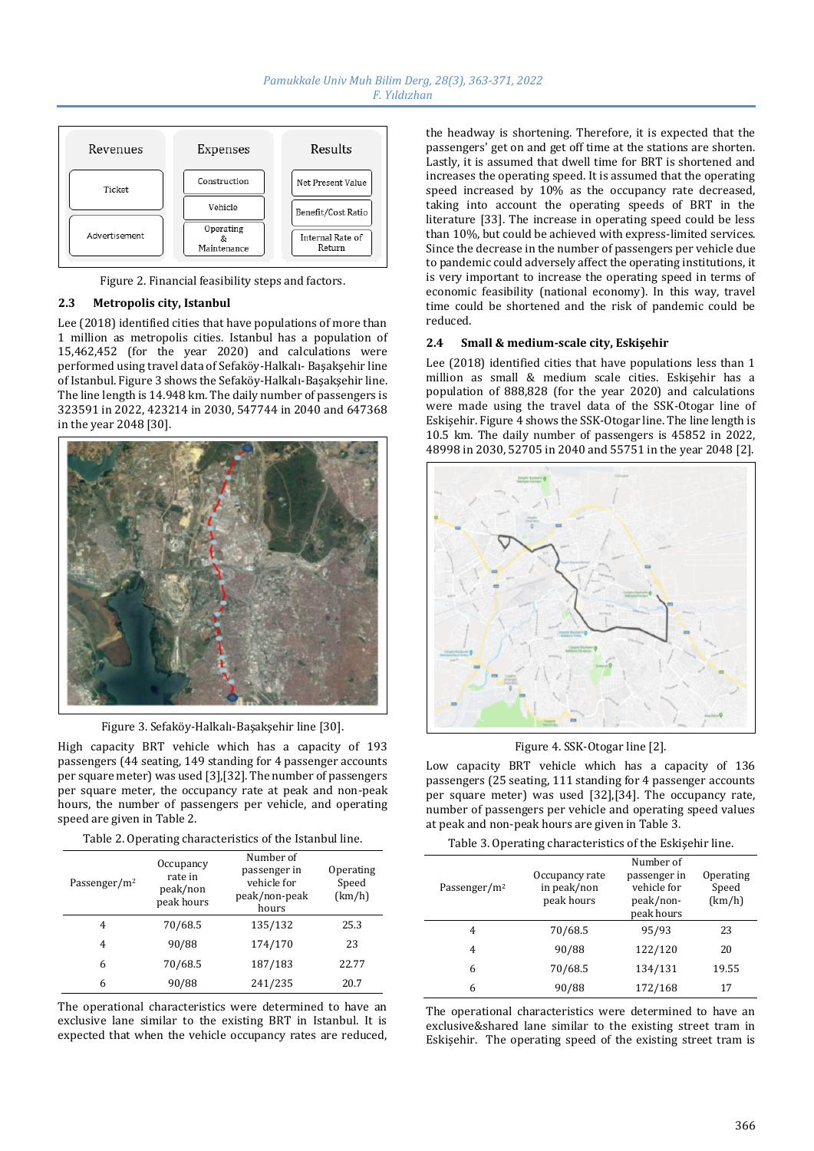

Figure 2. Financial feasibility steps and factors.

### **2.3 Metropolis city, Istanbul**

Lee (2018) identified cities that have populations of more than 1 million as metropolis cities. Istanbul has a population of 15,462,452 (for the year 2020) and calculations were performed using travel data of Sefaköy-Halkalı- Başakşehir line of Istanbul. Figure 3 shows the Sefaköy-Halkalı-Başakşehir line. The line length is 14.948 km. The daily number of passengers is 323591 in 2022, 423214 in 2030, 547744 in 2040 and 647368 in the year 2048 [30].



Figure 3. Sefaköy-Halkalı-Başakşehir line [30].

High capacity BRT vehicle which has a capacity of 193 passengers (44 seating, 149 standing for 4 passenger accounts per square meter) was used [3],[32]. The number of passengers per square meter, the occupancy rate at peak and non-peak hours, the number of passengers per vehicle, and operating speed are given in Table 2.

| Table 2. Operating characteristics of the Istanbul line. |  |  |
|----------------------------------------------------------|--|--|
|                                                          |  |  |

| Passenger/m <sup>2</sup> | Occupancy<br>rate in<br>peak/non<br>peak hours | Number of<br>passenger in<br>vehicle for<br>peak/non-peak<br>hours | Operating<br>Speed<br>(km/h) |
|--------------------------|------------------------------------------------|--------------------------------------------------------------------|------------------------------|
| 4                        | 70/68.5                                        | 135/132                                                            | 25.3                         |
| 4                        | 90/88                                          | 174/170                                                            | 23                           |
| 6                        | 70/68.5                                        | 187/183                                                            | 22.77                        |
| 6                        | 90/88                                          | 241/235                                                            | 20.7                         |

The operational characteristics were determined to have an exclusive lane similar to the existing BRT in Istanbul. It is expected that when the vehicle occupancy rates are reduced,

the headway is shortening. Therefore, it is expected that the passengers' get on and get off time at the stations are shorten. Lastly, it is assumed that dwell time for BRT is shortened and increases the operating speed. It is assumed that the operating speed increased by 10% as the occupancy rate decreased, taking into account the operating speeds of BRT in the literature [33]. The increase in operating speed could be less than 10%, but could be achieved with express-limited services. Since the decrease in the number of passengers per vehicle due to pandemic could adversely affect the operating institutions, it is very important to increase the operating speed in terms of economic feasibility (national economy). In this way, travel time could be shortened and the risk of pandemic could be reduced.

#### **2.4 Small & medium-scale city, Eskişehir**

Lee (2018) identified cities that have populations less than 1 million as small & medium scale cities. Eskişehir has a population of 888,828 (for the year 2020) and calculations were made using the travel data of the SSK-Otogar line of Eskişehir. Figure 4 shows the SSK-Otogar line. The line length is 10.5 km. The daily number of passengers is 45852 in 2022, 48998 in 2030, 52705 in 2040 and 55751 in the year 2048 [2].



Figure 4. SSK-Otogar line [2].

Low capacity BRT vehicle which has a capacity of 136 passengers (25 seating, 111 standing for 4 passenger accounts per square meter) was used [32],[34]. The occupancy rate, number of passengers per vehicle and operating speed values at peak and non-peak hours are given in Table 3.

Table 3. Operating characteristics of the Eskişehir line.

| Passenger/m <sup>2</sup> | Occupancy rate<br>in peak/non<br>peak hours | Number of<br>passenger in<br>vehicle for<br>peak/non-<br>peak hours | Operating<br>Speed<br>(km/h) |
|--------------------------|---------------------------------------------|---------------------------------------------------------------------|------------------------------|
| 4                        | 70/68.5                                     | 95/93                                                               | 23                           |
| 4                        | 90/88                                       | 122/120                                                             | 20                           |
| 6                        | 70/68.5                                     | 134/131                                                             | 19.55                        |
| 6                        | 90/88                                       | 172/168                                                             | 17                           |

The operational characteristics were determined to have an exclusive&shared lane similar to the existing street tram in Eskişehir. The operating speed of the existing street tram is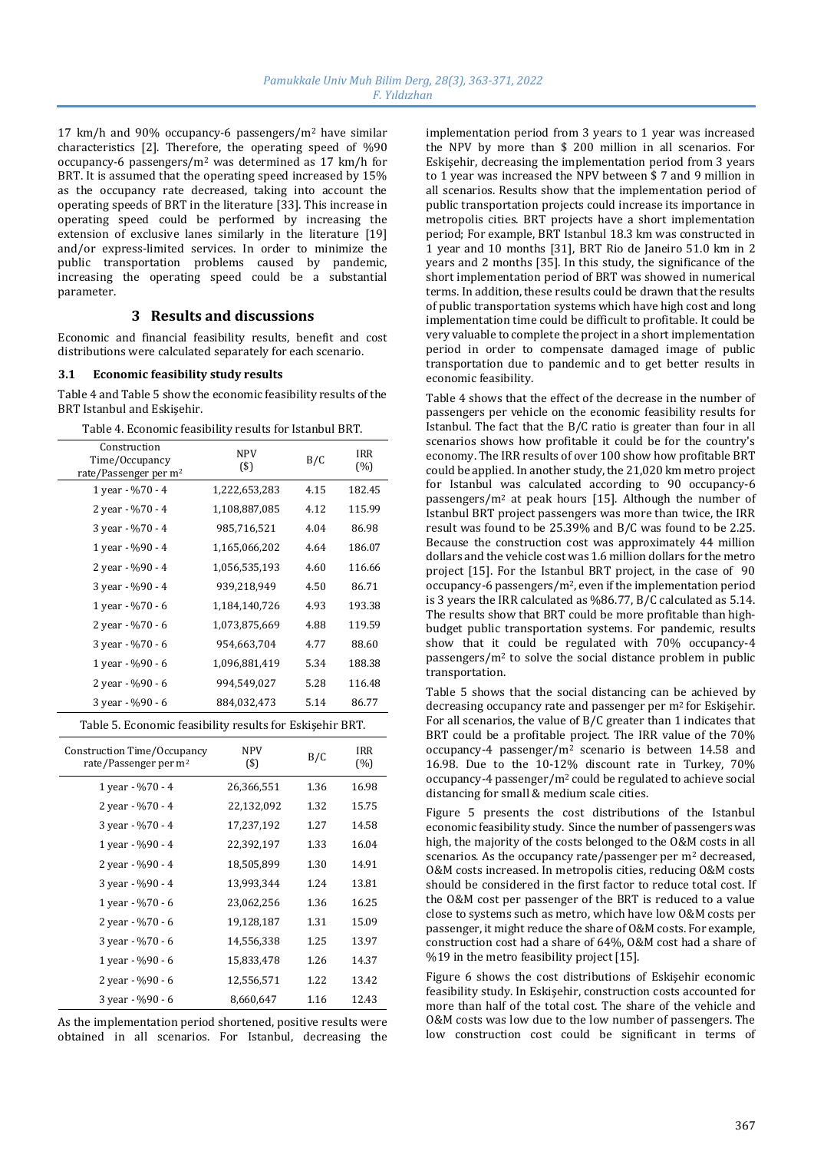17 km/h and 90% occupancy-6 passengers/m<sup>2</sup> have similar characteristics [2]. Therefore, the operating speed of %90 occupancy-6 passengers/m<sup>2</sup> was determined as 17 km/h for BRT. It is assumed that the operating speed increased by 15% as the occupancy rate decreased, taking into account the operating speeds of BRT in the literature [33]. This increase in operating speed could be performed by increasing the extension of exclusive lanes similarly in the literature [19] and/or express-limited services. In order to minimize the public transportation problems caused by pandemic, increasing the operating speed could be a substantial parameter.

# **3 Results and discussions**

Economic and financial feasibility results, benefit and cost distributions were calculated separately for each scenario.

#### **3.1 Economic feasibility study results**

Table 4 and Table 5 show the economic feasibility results of the BRT Istanbul and Eskişehir.

| Construction<br>Time/Occupancy<br>rate/Passenger per m <sup>2</sup> | <b>NPV</b><br>(3)     | B/C  | IRR<br>(%)    |
|---------------------------------------------------------------------|-----------------------|------|---------------|
| 1 year - %70 - 4                                                    | 1,222,653,283         | 4.15 | 182.45        |
| 2 year - %70 - 4                                                    | 1,108,887,085         | 4.12 | 115.99        |
| 3 year - %70 - 4                                                    | 985,716,521           | 4.04 | 86.98         |
| 1 year - %90 - 4                                                    | 1,165,066,202         | 4.64 | 186.07        |
| 2 year - %90 - 4                                                    | 1,056,535,193         | 4.60 | 116.66        |
| 3 year - %90 - 4                                                    | 939,218,949           | 4.50 | 86.71         |
| 1 year - %70 - 6                                                    | 1,184,140,726         | 4.93 | 193.38        |
| 2 year - %70 - 6                                                    | 1,073,875,669         | 4.88 | 119.59        |
| 3 year - %70 - 6                                                    | 954,663,704           | 4.77 | 88.60         |
| 1 year - %90 - 6                                                    | 1,096,881,419         | 5.34 | 188.38        |
| 2 year - %90 - 6                                                    | 994,549,027           | 5.28 | 116.48        |
| 3 year - %90 - 6                                                    | 884,032,473           | 5.14 | 86.77         |
| Table 5. Economic feasibility results for Eskişehir BRT.            |                       |      |               |
| Construction Time/Occupancy<br>rate/Passenger per m <sup>2</sup>    | <b>NPV</b><br>$($ \$) | B/C  | IRR<br>$(\%)$ |
| 1 year - %70 - 4                                                    | 26,366,551            | 1.36 | 16.98         |
| 2 year - %70 - 4                                                    | 22,132,092            | 1.32 | 15.75         |
| 3 year - %70 - 4                                                    | 17,237,192            | 1.27 | 14.58         |
| 1 year - %90 - 4                                                    | 22,392,197            | 1.33 | 16.04         |
| 2 year - %90 - 4                                                    | 18,505,899            | 1.30 | 14.91         |
| 3 year - %90 - 4                                                    | 13,993,344            | 1.24 | 13.81         |
| 1 year - %70 - 6                                                    | 23,062,256            | 1.36 | 16.25         |
| 2 year - %70 - 6                                                    | 19,128,187            | 1.31 | 15.09         |
| 3 year - %70 - 6                                                    | 14,556,338            | 1.25 | 13.97         |
| 1 year - %90 - 6                                                    | 15,833,478            | 1.26 | 14.37         |
| 2 year - %90 - 6                                                    | 12,556,571            | 1.22 | 13.42         |
| 3 year - %90 - 6                                                    | 8,660,647             | 1.16 | 12.43         |

Table 4. Economic feasibility results for Istanbul BRT.

As the implementation period shortened, positive results were obtained in all scenarios. For Istanbul, decreasing the implementation period from 3 years to 1 year was increased the NPV by more than \$ 200 million in all scenarios. For Eskişehir, decreasing the implementation period from 3 years to 1 year was increased the NPV between \$ 7 and 9 million in all scenarios. Results show that the implementation period of public transportation projects could increase its importance in metropolis cities. BRT projects have a short implementation period; For example, BRT Istanbul 18.3 km was constructed in 1 year and 10 months [31], BRT Rio de Janeiro 51.0 km in 2 years and 2 months [35]. In this study, the significance of the short implementation period of BRT was showed in numerical terms. In addition, these results could be drawn that the results of public transportation systems which have high cost and long implementation time could be difficult to profitable. It could be very valuable to complete the project in a short implementation period in order to compensate damaged image of public transportation due to pandemic and to get better results in economic feasibility.

Table 4 shows that the effect of the decrease in the number of passengers per vehicle on the economic feasibility results for Istanbul. The fact that the B/C ratio is greater than four in all scenarios shows how profitable it could be for the country's economy. The IRR results of over 100 show how profitable BRT could be applied. In another study, the 21,020 km metro project for Istanbul was calculated according to 90 occupancy-6 passengers/m<sup>2</sup> at peak hours [15]. Although the number of Istanbul BRT project passengers was more than twice, the IRR result was found to be 25.39% and B/C was found to be 2.25. Because the construction cost was approximately 44 million dollars and the vehicle cost was 1.6 million dollars for the metro project [15]. For the Istanbul BRT project, in the case of 90 occupancy-6 passengers/m2, even if the implementation period is 3 years the IRR calculated as %86.77, B/C calculated as 5.14. The results show that BRT could be more profitable than highbudget public transportation systems. For pandemic, results show that it could be regulated with 70% occupancy-4 passengers/m<sup>2</sup> to solve the social distance problem in public transportation.

Table 5 shows that the social distancing can be achieved by decreasing occupancy rate and passenger per m2 for Eskişehir. For all scenarios, the value of B/C greater than 1 indicates that BRT could be a profitable project. The IRR value of the 70% occupancy-4 passenger/m<sup>2</sup> scenario is between 14.58 and 16.98. Due to the 10-12% discount rate in Turkey, 70% occupancy-4 passenger/m<sup>2</sup> could be regulated to achieve social distancing for small & medium scale cities.

Figure 5 presents the cost distributions of the Istanbul economic feasibility study. Since the number of passengers was high, the majority of the costs belonged to the O&M costs in all scenarios. As the occupancy rate/passenger per m<sup>2</sup> decreased, O&M costs increased. In metropolis cities, reducing O&M costs should be considered in the first factor to reduce total cost. If the O&M cost per passenger of the BRT is reduced to a value close to systems such as metro, which have low O&M costs per passenger, it might reduce the share of O&M costs. For example, construction cost had a share of 64%, O&M cost had a share of %19 in the metro feasibility project [15].

Figure 6 shows the cost distributions of Eskişehir economic feasibility study. In Eskişehir, construction costs accounted for more than half of the total cost. The share of the vehicle and O&M costs was low due to the low number of passengers. The low construction cost could be significant in terms of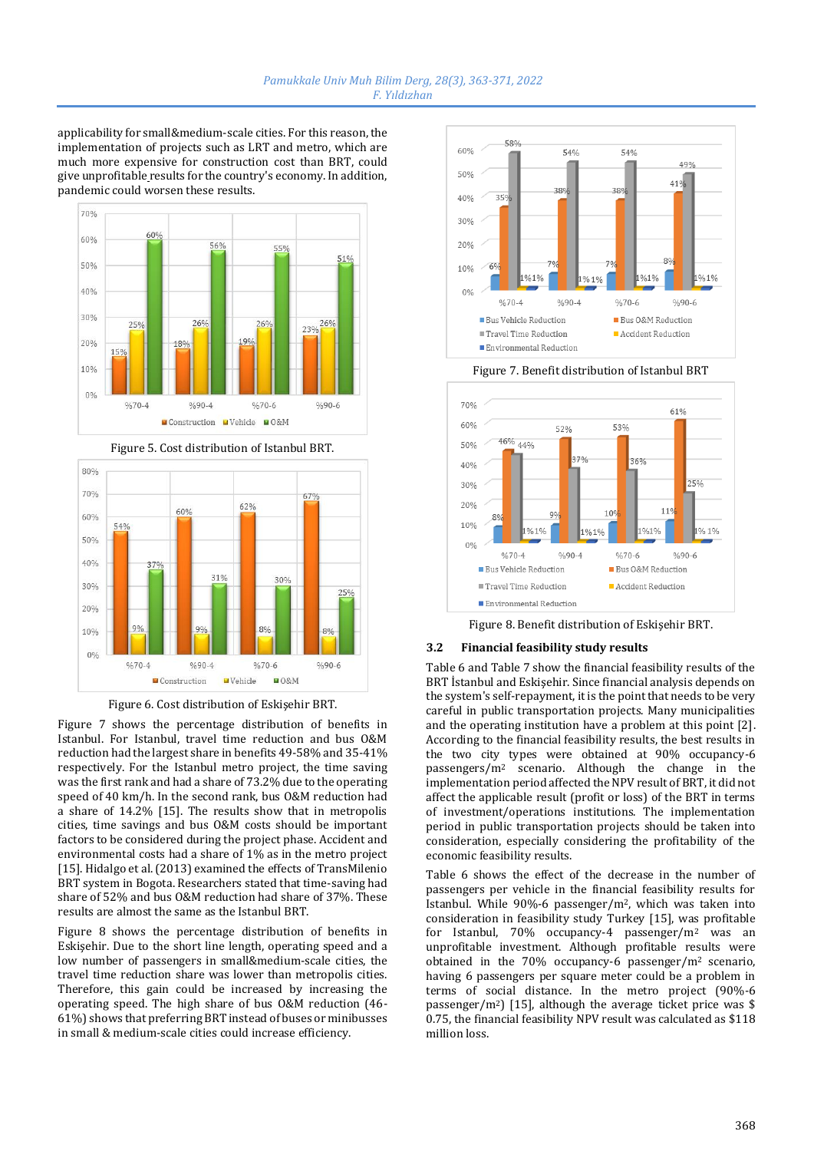applicability for small&medium-scale cities. For this reason, the implementation of projects such as LRT and metro, which are much more expensive for construction cost than BRT, could give unprofitable results for the country's economy. In addition, pandemic could worsen these results.





Figure 6. Cost distribution of Eskişehir BRT.

Figure 7 shows the percentage distribution of benefits in Istanbul. For Istanbul, travel time reduction and bus O&M reduction had the largest share in benefits 49-58% and 35-41% respectively. For the Istanbul metro project, the time saving was the first rank and had a share of 73.2% due to the operating speed of 40 km/h. In the second rank, bus O&M reduction had a share of 14.2% [15]. The results show that in metropolis cities, time savings and bus O&M costs should be important factors to be considered during the project phase. Accident and environmental costs had a share of 1% as in the metro project [15]. Hidalgo et al. (2013) examined the effects of TransMilenio BRT system in Bogota. Researchers stated that time-saving had share of 52% and bus O&M reduction had share of 37%. These results are almost the same as the Istanbul BRT.

Figure 8 shows the percentage distribution of benefits in Eskişehir. Due to the short line length, operating speed and a low number of passengers in small&medium-scale cities, the travel time reduction share was lower than metropolis cities. Therefore, this gain could be increased by increasing the operating speed. The high share of bus O&M reduction (46- 61%) shows that preferring BRT instead of buses or minibusses in small & medium-scale cities could increase efficiency.



70% 61% 60% 53% 52% 46% 44% 50% 36%  $40%$  $750$ 30% 20%  $11^{1}$  $10<sup>0</sup>$  $8<sup>0</sup>$ 10% % 1%  $61%$ %1% %1%  $0%$  $%70-4$  $%90-4$  $%70-6$  $%90-6$ Bus O&M Reduction **Bus Vehicle Reduction** Travel Time Reduction Accident Reduction Environmental Reduction

Figure 7. Benefit distribution of Istanbul BRT

Figure 8. Benefit distribution of Eskişehir BRT.

### **3.2 Financial feasibility study results**

Table 6 and Table 7 show the financial feasibility results of the BRT İstanbul and Eskişehir. Since financial analysis depends on the system's self-repayment, it is the point that needs to be very careful in public transportation projects. Many municipalities and the operating institution have a problem at this point [2]. According to the financial feasibility results, the best results in the two city types were obtained at 90% occupancy-6 passengers/m<sup>2</sup> scenario. Although the change in the implementation period affected the NPV result of BRT, it did not affect the applicable result (profit or loss) of the BRT in terms of investment/operations institutions. The implementation period in public transportation projects should be taken into consideration, especially considering the profitability of the economic feasibility results.

Table 6 shows the effect of the decrease in the number of passengers per vehicle in the financial feasibility results for Istanbul. While 90%-6 passenger/m2, which was taken into consideration in feasibility study Turkey [15], was profitable for Istanbul, 70% occupancy-4 passenger/m<sup>2</sup> was an unprofitable investment. Although profitable results were obtained in the 70% occupancy-6 passenger/m2 scenario, having 6 passengers per square meter could be a problem in terms of social distance. In the metro project (90%-6 passenger/m<sup>2</sup>) [15], although the average ticket price was \$ 0.75, the financial feasibility NPV result was calculated as \$118 million loss.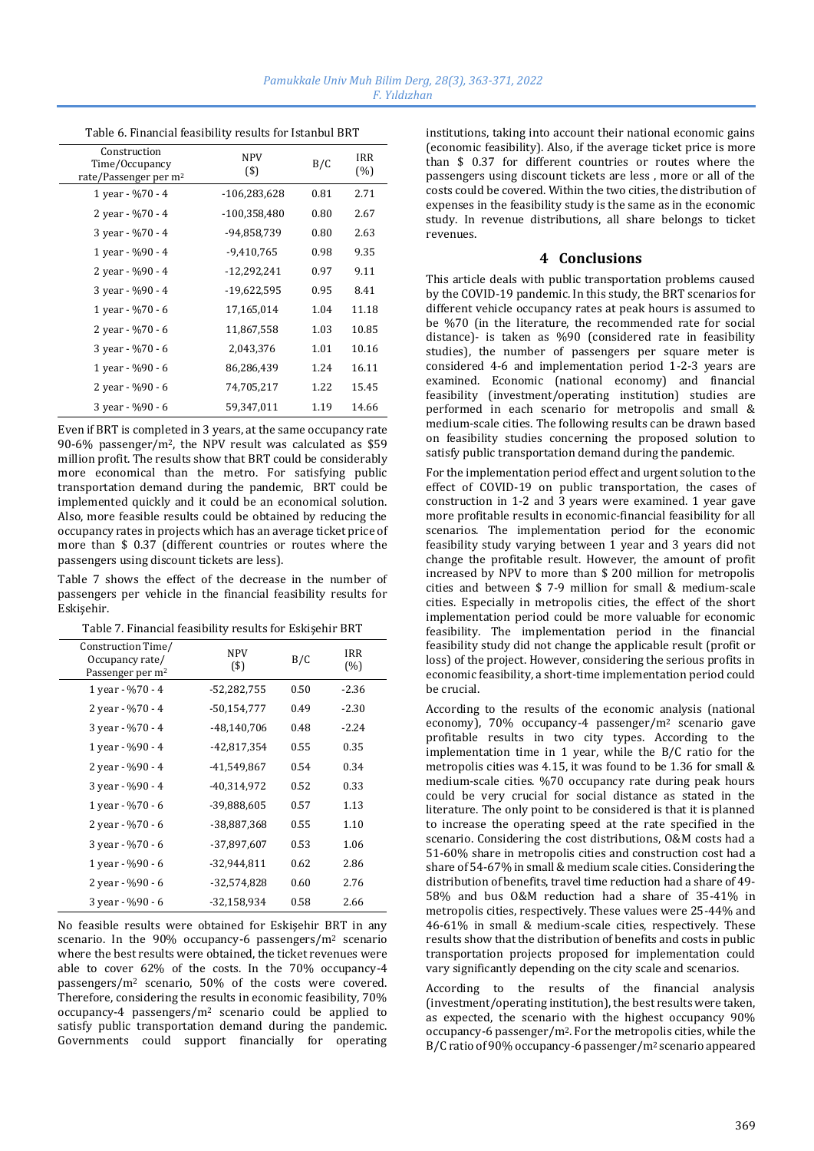| Table 6. Financial feasibility results for Istanbul BRT             |                   |      |            |  |
|---------------------------------------------------------------------|-------------------|------|------------|--|
| Construction<br>Time/Occupancy<br>rate/Passenger per m <sup>2</sup> | <b>NPV</b><br>(3) | B/C  | IRR<br>(%) |  |
| 1 year - %70 - 4                                                    | $-106,283,628$    | 0.81 | 2.71       |  |
| 2 year - %70 - 4                                                    | -100,358,480      | 0.80 | 2.67       |  |
| 3 year - %70 - 4                                                    | -94,858,739       | 0.80 | 2.63       |  |
| 1 year - %90 - 4                                                    | $-9,410,765$      | 0.98 | 9.35       |  |
| 2 year - %90 - 4                                                    | $-12,292,241$     | 0.97 | 9.11       |  |
| 3 year - %90 - 4                                                    | -19,622,595       | 0.95 | 8.41       |  |
| 1 year - %70 - 6                                                    | 17,165,014        | 1.04 | 11.18      |  |
| 2 year - %70 - 6                                                    | 11,867,558        | 1.03 | 10.85      |  |
| 3 year - %70 - 6                                                    | 2,043,376         | 1.01 | 10.16      |  |
| 1 year - %90 - 6                                                    | 86,286,439        | 1.24 | 16.11      |  |
| 2 year - %90 - 6                                                    | 74,705,217        | 1.22 | 15.45      |  |
| 3 year - %90 - 6                                                    | 59,347,011        | 1.19 | 14.66      |  |
|                                                                     |                   |      |            |  |

Even if BRT is completed in 3 years, at the same occupancy rate 90-6% passenger/m2, the NPV result was calculated as \$59 million profit. The results show that BRT could be considerably more economical than the metro. For satisfying public transportation demand during the pandemic, BRT could be implemented quickly and it could be an economical solution. Also, more feasible results could be obtained by reducing the occupancy rates in projects which has an average ticket price of more than \$ 0.37 (different countries or routes where the passengers using discount tickets are less).

Table 7 shows the effect of the decrease in the number of passengers per vehicle in the financial feasibility results for Eskişehir.

| Construction Time/<br>Occupancy rate/<br>Passenger per m <sup>2</sup> | <b>NPV</b><br>(5) | B/C  | <b>IRR</b><br>(%) |
|-----------------------------------------------------------------------|-------------------|------|-------------------|
| 1 year - %70 - 4                                                      | $-52,282,755$     | 0.50 | $-2.36$           |
| 2 year - %70 - 4                                                      | $-50,154,777$     | 0.49 | $-2.30$           |
| 3 year - %70 - 4                                                      | $-48,140,706$     | 0.48 | $-2.24$           |
| 1 year - %90 - 4                                                      | $-42,817,354$     | 0.55 | 0.35              |
| 2 year - %90 - 4                                                      | -41,549,867       | 0.54 | 0.34              |
| 3 year - %90 - 4                                                      | -40,314,972       | 0.52 | 0.33              |
| 1 year - %70 - 6                                                      | -39,888,605       | 0.57 | 1.13              |
| 2 year - %70 - 6                                                      | -38,887,368       | 0.55 | 1.10              |
| 3 year - %70 - 6                                                      | -37,897,607       | 0.53 | 1.06              |
| 1 year - %90 - 6                                                      | -32,944,811       | 0.62 | 2.86              |
| 2 year - %90 - 6                                                      | $-32,574,828$     | 0.60 | 2.76              |
| 3 year - %90 - 6                                                      | -32,158,934       | 0.58 | 2.66              |

No feasible results were obtained for Eskişehir BRT in any scenario. In the 90% occupancy-6 passengers/m<sup>2</sup> scenario where the best results were obtained, the ticket revenues were able to cover 62% of the costs. In the 70% occupancy-4 passengers/m<sup>2</sup> scenario, 50% of the costs were covered. Therefore, considering the results in economic feasibility, 70% occupancy-4 passengers/m<sup>2</sup> scenario could be applied to satisfy public transportation demand during the pandemic. Governments could support financially for operating institutions, taking into account their national economic gains (economic feasibility). Also, if the average ticket price is more than \$ 0.37 for different countries or routes where the passengers using discount tickets are less , more or all of the costs could be covered. Within the two cities, the distribution of expenses in the feasibility study is the same as in the economic study. In revenue distributions, all share belongs to ticket revenues.

## **4 Conclusions**

This article deals with public transportation problems caused by the COVID-19 pandemic. In this study, the BRT scenarios for different vehicle occupancy rates at peak hours is assumed to be %70 (in the literature, the recommended rate for social distance)- is taken as %90 (considered rate in feasibility studies), the number of passengers per square meter is considered 4-6 and implementation period 1-2-3 years are examined. Economic (national economy) and financial feasibility (investment/operating institution) studies are performed in each scenario for metropolis and small & medium-scale cities. The following results can be drawn based on feasibility studies concerning the proposed solution to satisfy public transportation demand during the pandemic.

For the implementation period effect and urgent solution to the effect of COVID-19 on public transportation, the cases of construction in 1-2 and 3 years were examined. 1 year gave more profitable results in economic-financial feasibility for all scenarios. The implementation period for the economic feasibility study varying between 1 year and 3 years did not change the profitable result. However, the amount of profit increased by NPV to more than \$ 200 million for metropolis cities and between \$ 7-9 million for small & medium-scale cities. Especially in metropolis cities, the effect of the short implementation period could be more valuable for economic feasibility. The implementation period in the financial feasibility study did not change the applicable result (profit or loss) of the project. However, considering the serious profits in economic feasibility, a short-time implementation period could be crucial.

According to the results of the economic analysis (national economy), 70% occupancy-4 passenger/m<sup>2</sup> scenario gave profitable results in two city types. According to the implementation time in 1 year, while the B/C ratio for the metropolis cities was 4.15, it was found to be 1.36 for small & medium-scale cities. %70 occupancy rate during peak hours could be very crucial for social distance as stated in the literature. The only point to be considered is that it is planned to increase the operating speed at the rate specified in the scenario. Considering the cost distributions, O&M costs had a 51-60% share in metropolis cities and construction cost had a share of 54-67% in small & medium scale cities. Considering the distribution of benefits, travel time reduction had a share of 49- 58% and bus O&M reduction had a share of 35-41% in metropolis cities, respectively. These values were 25-44% and 46-61% in small & medium-scale cities, respectively. These results show that the distribution of benefits and costs in public transportation projects proposed for implementation could vary significantly depending on the city scale and scenarios.

According to the results of the financial analysis (investment/operating institution), the best results were taken, as expected, the scenario with the highest occupancy 90% occupancy-6 passenger/m2. For the metropolis cities, while the B/C ratio of 90% occupancy-6 passenger/m2 scenario appeared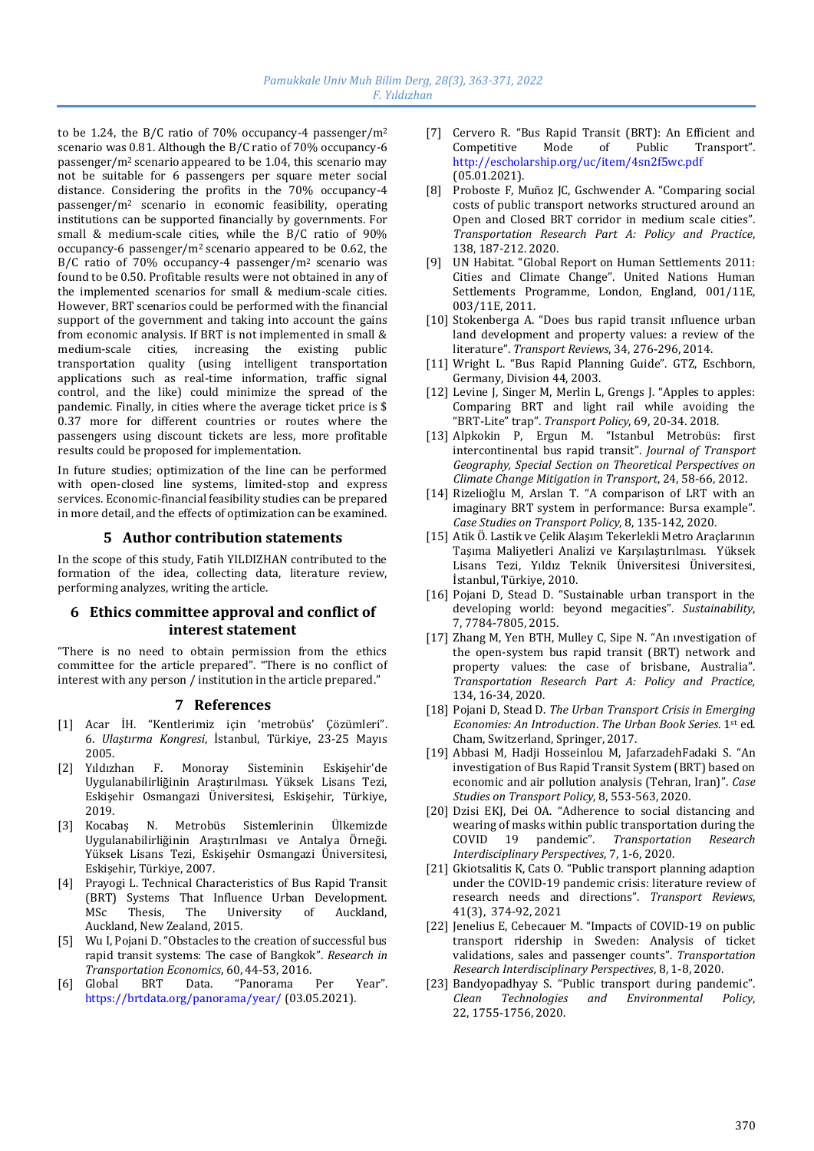to be 1.24, the B/C ratio of 70% occupancy-4 passenger/m<sup>2</sup> scenario was 0.81. Although the B/C ratio of 70% occupancy-6 passenger/m2 scenario appeared to be 1.04, this scenario may not be suitable for 6 passengers per square meter social distance. Considering the profits in the 70% occupancy-4 passenger/m<sup>2</sup> scenario in economic feasibility, operating institutions can be supported financially by governments. For small & medium-scale cities, while the B/C ratio of 90% occupancy-6 passenger/m2 scenario appeared to be 0.62, the B/C ratio of 70% occupancy-4 passenger/m2 scenario was found to be 0.50. Profitable results were not obtained in any of the implemented scenarios for small & medium-scale cities. However, BRT scenarios could be performed with the financial support of the government and taking into account the gains from economic analysis. If BRT is not implemented in small & medium-scale cities, increasing the existing public transportation quality (using intelligent transportation applications such as real-time information, traffic signal control, and the like) could minimize the spread of the pandemic. Finally, in cities where the average ticket price is \$ 0.37 more for different countries or routes where the passengers using discount tickets are less, more profitable results could be proposed for implementation.

In future studies; optimization of the line can be performed with open-closed line systems, limited-stop and express services. Economic-financial feasibility studies can be prepared in more detail, and the effects of optimization can be examined.

# **5 Author contribution statements**

In the scope of this study, Fatih YILDIZHAN contributed to the formation of the idea, collecting data, literature review, performing analyzes, writing the article.

# **6 Ethics committee approval and conflict of interest statement**

"There is no need to obtain permission from the ethics committee for the article prepared". "There is no conflict of interest with any person / institution in the article prepared."

# **7 References**

- [1] Acar İH. "Kentlerimiz için 'metrobüs' Çözümleri". 6. *Ulaştırma Kongresi*, İstanbul, Türkiye, 23-25 Mayıs 2005.
- [2] Yıldızhan F. Monoray Sisteminin Eskişehir'de Uygulanabilirliğinin Araştırılması. Yüksek Lisans Tezi, Eskişehir Osmangazi Üniversitesi, Eskişehir, Türkiye, 2019.
- [3] Kocabaş N. Metrobüs Sistemlerinin Ülkemizde Uygulanabilirliğinin Araştırılması ve Antalya Örneği. Yüksek Lisans Tezi, Eskişehir Osmangazi Üniversitesi, Eskişehir, Türkiye, 2007.
- [4] Prayogi L. Technical Characteristics of Bus Rapid Transit (BRT) Systems That Influence Urban Development. MSc Thesis, The University of Auckland, Auckland, New Zealand, 2015.
- [5] Wu I, Pojani D. "Obstacles to the creation of successful bus rapid transit systems: The case of Bangkok". *Research in Transportation Economics*, 60, 44-53, 2016.
- [6] Global BRT Data. "Panorama Per Year". https://brtdata.org/panorama/year/ (03.05.2021).
- [7] Cervero R. "Bus Rapid Transit (BRT): An Efficient and Competitive Mode of Public Transport". http://escholarship.org/uc/item/4sn2f5wc.pdf (05.01.2021).
- [8] Proboste F, Muñoz JC, Gschwender A. "Comparing social costs of public transport networks structured around an Open and Closed BRT corridor in medium scale cities". *Transportation Research Part A: Policy and Practice*, 138, 187-212. 2020.
- [9] UN Habitat. "Global Report on Human Settlements 2011: Cities and Climate Change". United Nations Human Settlements Programme, London, England, 001/11E, 003/11E, 2011.
- [10] Stokenberga A. "Does bus rapid transit ınfluence urban land development and property values: a review of the literature". *Transport Reviews*, 34, 276-296, 2014.
- [11] Wright L. "Bus Rapid Planning Guide". GTZ, Eschborn, Germany, Division 44, 2003.
- [12] Levine J, Singer M, Merlin L, Grengs J. "Apples to apples: Comparing BRT and light rail while avoiding the "BRT-Lite" trap". *Transport Policy*, 69, 20-34. 2018.
- [13] Alpkokin P, Ergun M. "Istanbul Metrobüs: first intercontinental bus rapid transit". *Journal of Transport Geography, Special Section on Theoretical Perspectives on Climate Change Mitigation in Transport*, 24, 58-66, 2012.
- [14] Rizelioğlu M, Arslan T. "A comparison of LRT with an imaginary BRT system in performance: Bursa example". *Case Studies on Transport Policy*, 8, 135-142, 2020.
- [15] Atik Ö. Lastik ve Çelik Alaşım Tekerlekli Metro Araçlarının Taşıma Maliyetleri Analizi ve Karşılaştırılması. Yüksek Lisans Tezi, Yıldız Teknik Üniversitesi Üniversitesi, İstanbul, Türkiye, 2010.
- [16] Pojani D, Stead D. "Sustainable urban transport in the developing world: beyond megacities". *Sustainability*, 7, 7784-7805, 2015.
- [17] Zhang M, Yen BTH, Mulley C, Sipe N. "An ınvestigation of the open-system bus rapid transit (BRT) network and property values: the case of brisbane, Australia". *Transportation Research Part A: Policy and Practice,* 134, 16-34, 2020.
- [18] Pojani D, Stead D. *The Urban Transport Crisis in Emerging Economies: An Introduction*. *The Urban Book Series*. 1st ed. Cham, Switzerland, Springer, 2017.
- [19] Abbasi M, Hadji Hosseinlou M, JafarzadehFadaki S. "An investigation of Bus Rapid Transit System (BRT) based on economic and air pollution analysis (Tehran, Iran)". *Case Studies on Transport Policy*, 8, 553-563, 2020.
- [20] Dzisi EKJ, Dei OA. "Adherence to social distancing and wearing of masks within public transportation during the COVID 19 pandemic". *Transportation Research Interdisciplinary Perspectives*, 7, 1-6, 2020.
- [21] Gkiotsalitis K, Cats O. "Public transport planning adaption under the COVID-19 pandemic crisis: literature review of research needs and directions". *Transport Reviews*, 41(3), 374-92, 2021
- [22] Jenelius E, Cebecauer M. "Impacts of COVID-19 on public transport ridership in Sweden: Analysis of ticket validations, sales and passenger counts". *Transportation Research Interdisciplinary Perspectives*, 8, 1-8, 2020.
- [23] Bandyopadhyay S. "Public transport during pandemic". *Clean Technologies and Environmental Policy*, 22, 1755-1756, 2020.